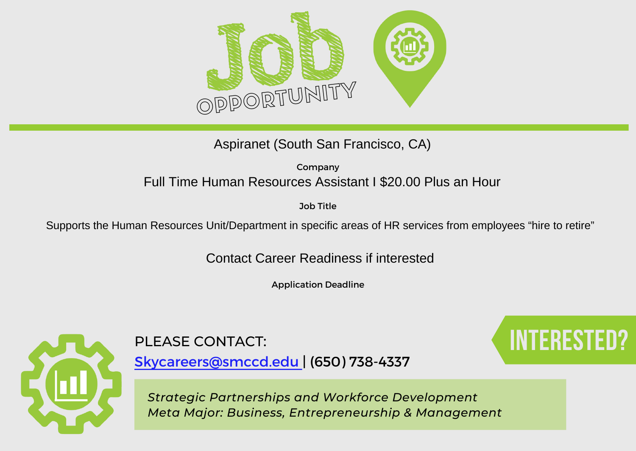

Aspiranet (South San Francisco, CA)

Company Full Time Human Resources Assistant I \$20.00 Plus an Hour

Job Title

Supports the Human Resources Unit/Department in specific areas of HR services from employees "hire to retire"

Contact Career Readiness if interested

Application Deadline



## PLEASE CONTACT: **Interested Contact**:

[Skycareers@smccd.edu | \(650\) 738-4337](mailto:skycareers@smccd.edu)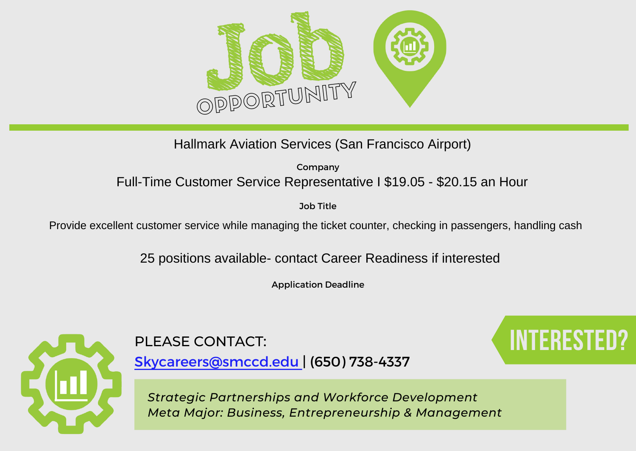

Company Hallmark Aviation Services (San Francisco Airport)<br><sup>Company</sup><br>Full-Time Customer Service Representative I \$19.05 - \$20.15 an Hour

Job Title

Provide excellent customer service while managing the ticket counter, checking in passengers, handling cash

25 positions available- contact Career Readiness if interested

Application Deadline



PLEASE CONTACT: **Interested and the set of the set of the set of the set of the set of the set of the set of the set of the set of the set of the set of the set of the set of the set of the set of the set of the set of the** 

[Skycareers@smccd.edu | \(650\) 738-4337](mailto:skycareers@smccd.edu)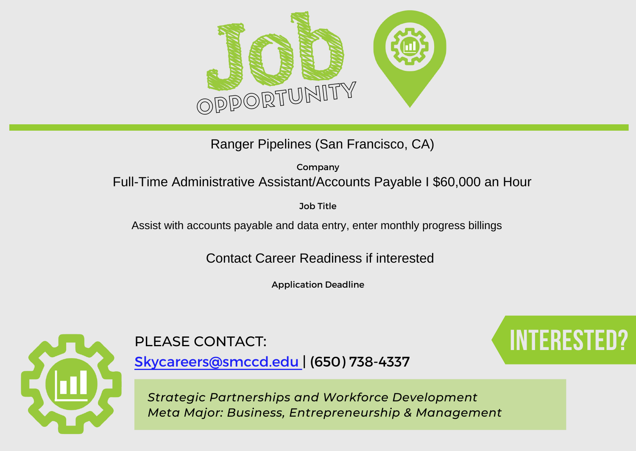

Ranger Pipelines (San Francisco, CA)

Company Full-Time Administrative Assistant/Accounts Payable I \$60,000 an Hour

Job Title

Assist with accounts payable and data entry, enter monthly progress billings

Contact Career Readiness if interested

Application Deadline



[Skycareers@smccd.edu | \(650\) 738-4337](mailto:skycareers@smccd.edu)

PLEASE CONTACT: **Interested and the set of the set of the set of the set of the set of the set of the set of the set of the set of the set of the set of the set of the set of the set of the set of the set of the set of the**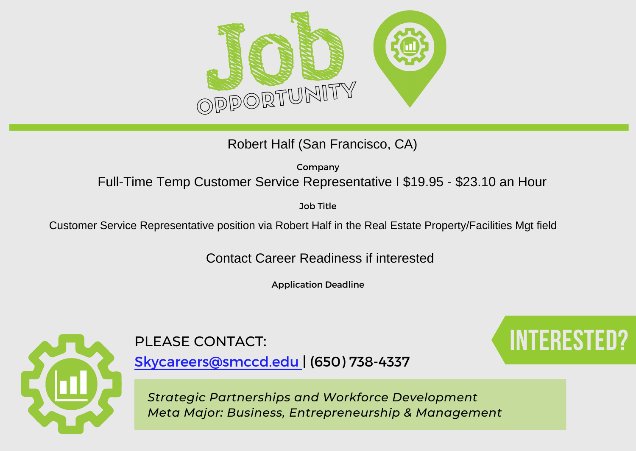

Robert Half (San Francisco, CA)

Company Full-Time Temp Customer Service Representative I \$19.95 - \$23.10 an Hour

Job Title

Customer Service Representative position via Robert Half in the Real Estate Property/Facilities Mgt field

Contact Career Readiness if interested

Application Deadline



## PLEASE CONTACT: **Interested and the set of the set of the set of the set of the set of the set of the set of the set of the set of the set of the set of the set of the set of the set of the set of the set of the set of the**

[Skycareers@smccd.edu | \(650\) 738-4337](mailto:skycareers@smccd.edu)